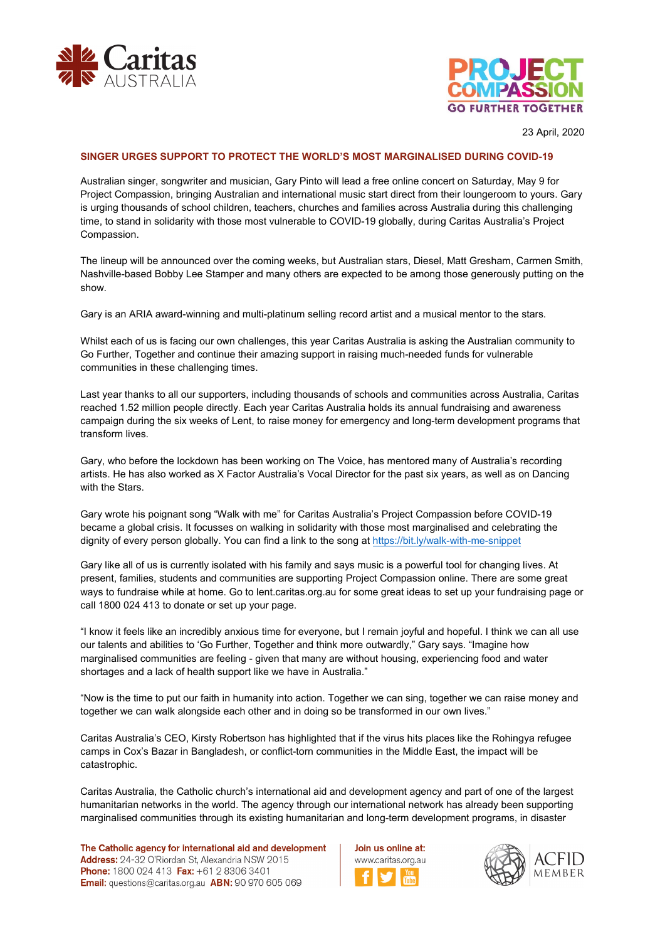



23 April, 2020

## **SINGER URGES SUPPORT TO PROTECT THE WORLD'S MOST MARGINALISED DURING COVID-19**

Australian singer, songwriter and musician, Gary Pinto will lead a free online concert on Saturday, May 9 for Project Compassion, bringing Australian and international music start direct from their loungeroom to yours. Gary is urging thousands of school children, teachers, churches and families across Australia during this challenging time, to stand in solidarity with those most vulnerable to COVID-19 globally, during Caritas Australia's Project Compassion.

The lineup will be announced over the coming weeks, but Australian stars, Diesel, Matt Gresham, Carmen Smith, Nashville-based Bobby Lee Stamper and many others are expected to be among those generously putting on the show.

Gary is an ARIA award-winning and multi-platinum selling record artist and a musical mentor to the stars.

Whilst each of us is facing our own challenges, this year Caritas Australia is asking the Australian community to Go Further, Together and continue their amazing support in raising much-needed funds for vulnerable communities in these challenging times.

Last year thanks to all our supporters, including thousands of schools and communities across Australia, Caritas reached 1.52 million people directly. Each year Caritas Australia holds its annual fundraising and awareness campaign during the six weeks of Lent, to raise money for emergency and long-term development programs that transform lives.

Gary, who before the lockdown has been working on The Voice, has mentored many of Australia's recording artists. He has also worked as X Factor Australia's Vocal Director for the past six years, as well as on Dancing with the Stars.

Gary wrote his poignant song "Walk with me" for Caritas Australia's Project Compassion before COVID-19 became a global crisis. It focusses on walking in solidarity with those most marginalised and celebrating the dignity of every person globally. You can find a link to the song at <https://bit.ly/walk-with-me-snippet>

Gary like all of us is currently isolated with his family and says music is a powerful tool for changing lives. At present, families, students and communities are supporting Project Compassion online. There are some great ways to fundraise while at home. Go to lent.caritas.org.au for some great ideas to set up your fundraising page or call 1800 024 413 to donate or set up your page.

"I know it feels like an incredibly anxious time for everyone, but I remain joyful and hopeful. I think we can all use our talents and abilities to 'Go Further, Together and think more outwardly," Gary says. "Imagine how marginalised communities are feeling - given that many are without housing, experiencing food and water shortages and a lack of health support like we have in Australia."

"Now is the time to put our faith in humanity into action. Together we can sing, together we can raise money and together we can walk alongside each other and in doing so be transformed in our own lives."

Caritas Australia's CEO, Kirsty Robertson has highlighted that if the virus hits places like the Rohingya refugee camps in Cox's Bazar in Bangladesh, or conflict-torn communities in the Middle East, the impact will be catastrophic.

Caritas Australia, the Catholic church's international aid and development agency and part of one of the largest humanitarian networks in the world. The agency through our international network has already been supporting marginalised communities through its existing humanitarian and long-term development programs, in disaster

The Catholic agency for international aid and development Address: 24-32 O'Riordan St, Alexandria NSW 2015 Phone: 1800 024 413 Fax: +61 2 8306 3401 Email: questions@caritas.org.au ABN: 90 970 605 069